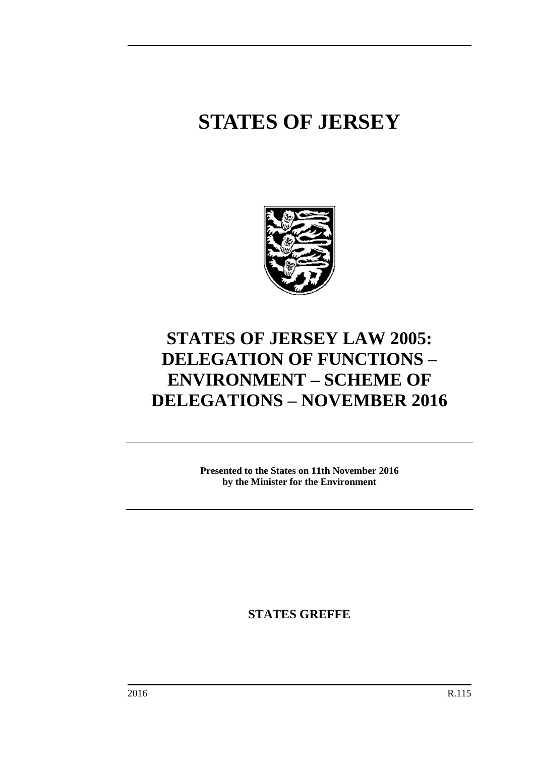# **STATES OF JERSEY**



# **STATES OF JERSEY LAW 2005: DELEGATION OF FUNCTIONS – ENVIRONMENT – SCHEME OF DELEGATIONS – NOVEMBER 2016**

**Presented to the States on 11th November 2016 by the Minister for the Environment**

**STATES GREFFE**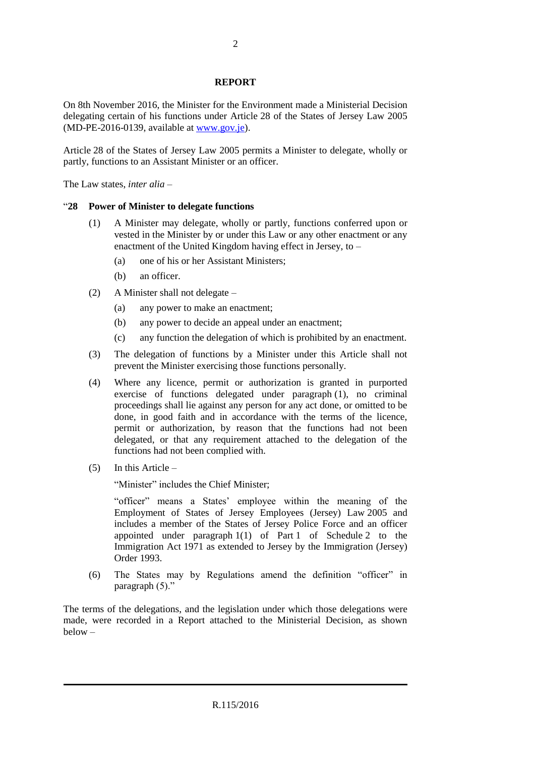#### **REPORT**

On 8th November 2016, the Minister for the Environment made a Ministerial Decision delegating certain of his functions under Article 28 of the States of Jersey Law 2005 (MD-PE-2016-0139, available at [www.gov.je\)](http://www.gov.je/).

Article 28 of the States of Jersey Law 2005 permits a Minister to delegate, wholly or partly, functions to an Assistant Minister or an officer.

The Law states, *inter alia* –

#### "**28 Power of Minister to delegate functions**

- (1) A Minister may delegate, wholly or partly, functions conferred upon or vested in the Minister by or under this Law or any other enactment or any enactment of the United Kingdom having effect in Jersey, to –
	- (a) one of his or her Assistant Ministers;
	- (b) an officer.
- (2) A Minister shall not delegate
	- (a) any power to make an enactment;
	- (b) any power to decide an appeal under an enactment;
	- (c) any function the delegation of which is prohibited by an enactment.
- (3) The delegation of functions by a Minister under this Article shall not prevent the Minister exercising those functions personally.
- (4) Where any licence, permit or authorization is granted in purported exercise of functions delegated under paragraph (1), no criminal proceedings shall lie against any person for any act done, or omitted to be done, in good faith and in accordance with the terms of the licence, permit or authorization, by reason that the functions had not been delegated, or that any requirement attached to the delegation of the functions had not been complied with.
- (5) In this Article –

"Minister" includes the Chief Minister;

"officer" means a States' employee within the meaning of the Employment of States of Jersey Employees (Jersey) Law 2005 and includes a member of the States of Jersey Police Force and an officer appointed under paragraph 1(1) of Part 1 of Schedule 2 to the Immigration Act 1971 as extended to Jersey by the Immigration (Jersey) Order 1993.

(6) The States may by Regulations amend the definition "officer" in paragraph (5)."

The terms of the delegations, and the legislation under which those delegations were made, were recorded in a Report attached to the Ministerial Decision, as shown below –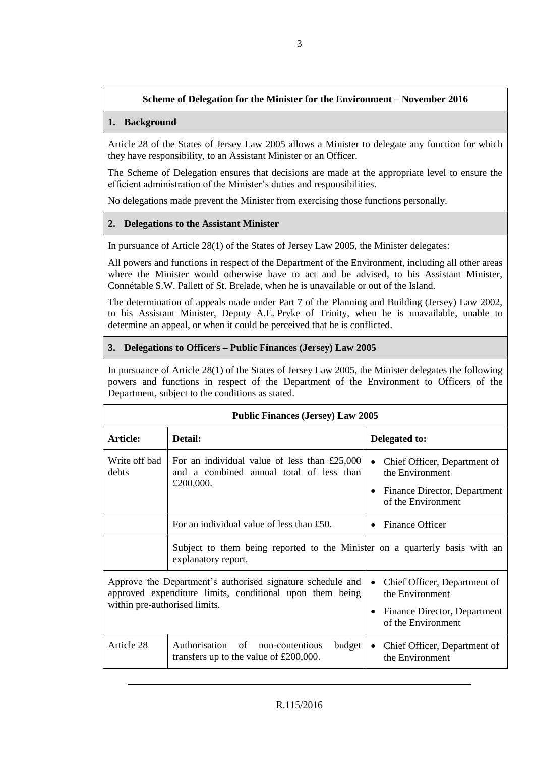# **Scheme of Delegation for the Minister for the Environment – November 2016**

#### **1. Background**

Article 28 of the States of Jersey Law 2005 allows a Minister to delegate any function for which they have responsibility, to an Assistant Minister or an Officer.

The Scheme of Delegation ensures that decisions are made at the appropriate level to ensure the efficient administration of the Minister's duties and responsibilities.

No delegations made prevent the Minister from exercising those functions personally.

#### **2. Delegations to the Assistant Minister**

In pursuance of Article 28(1) of the States of Jersey Law 2005, the Minister delegates:

All powers and functions in respect of the Department of the Environment, including all other areas where the Minister would otherwise have to act and be advised, to his Assistant Minister, Connétable S.W. Pallett of St. Brelade, when he is unavailable or out of the Island.

The determination of appeals made under Part 7 of the Planning and Building (Jersey) Law 2002, to his Assistant Minister, Deputy A.E. Pryke of Trinity, when he is unavailable, unable to determine an appeal, or when it could be perceived that he is conflicted.

#### **3. Delegations to Officers – Public Finances (Jersey) Law 2005**

In pursuance of Article 28(1) of the States of Jersey Law 2005, the Minister delegates the following powers and functions in respect of the Department of the Environment to Officers of the Department, subject to the conditions as stated.

| <b>Public Finances (Jersey) Law 2005</b>                                                                                                                |                                                                                                         |                                                                                                                                 |  |
|---------------------------------------------------------------------------------------------------------------------------------------------------------|---------------------------------------------------------------------------------------------------------|---------------------------------------------------------------------------------------------------------------------------------|--|
| Article:                                                                                                                                                | Detail:                                                                                                 | Delegated to:                                                                                                                   |  |
| Write off bad<br>debts                                                                                                                                  | For an individual value of less than $£25,000$<br>and a combined annual total of less than<br>£200,000. | Chief Officer, Department of<br>the Environment<br>Finance Director, Department<br>$\bullet$<br>of the Environment              |  |
|                                                                                                                                                         | For an individual value of less than $£50$ .                                                            | Finance Officer                                                                                                                 |  |
|                                                                                                                                                         | Subject to them being reported to the Minister on a quarterly basis with an<br>explanatory report.      |                                                                                                                                 |  |
| Approve the Department's authorised signature schedule and<br>approved expenditure limits, conditional upon them being<br>within pre-authorised limits. |                                                                                                         | Chief Officer, Department of<br>$\bullet$<br>the Environment<br>Finance Director, Department<br>$\bullet$<br>of the Environment |  |
| Article 28                                                                                                                                              | Authorisation<br>of<br>budget<br>non-contentious<br>transfers up to the value of $£200,000$ .           | Chief Officer, Department of<br>$\bullet$<br>the Environment                                                                    |  |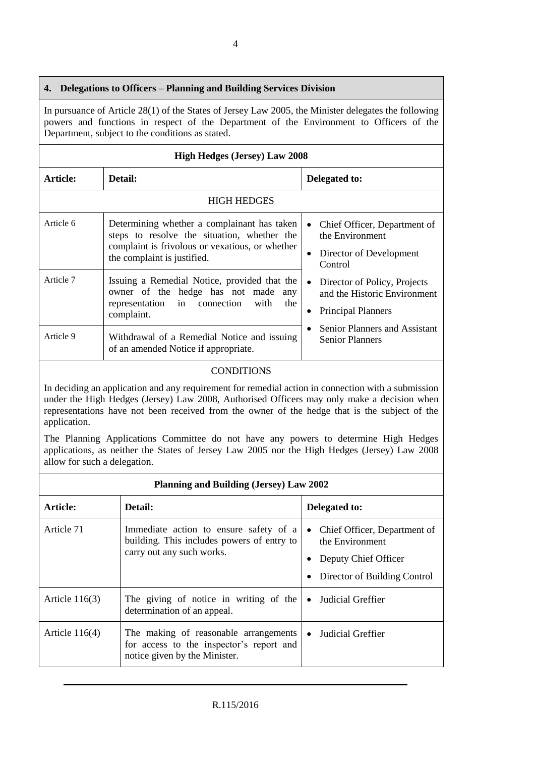# **4. Delegations to Officers – Planning and Building Services Division**

In pursuance of Article 28(1) of the States of Jersey Law 2005, the Minister delegates the following powers and functions in respect of the Department of the Environment to Officers of the Department, subject to the conditions as stated.

| <b>High Hedges (Jersey) Law 2008</b> |                                                                                                                                                                              |                                                                                                        |  |
|--------------------------------------|------------------------------------------------------------------------------------------------------------------------------------------------------------------------------|--------------------------------------------------------------------------------------------------------|--|
| Article:                             | Detail:                                                                                                                                                                      | Delegated to:                                                                                          |  |
| <b>HIGH HEDGES</b>                   |                                                                                                                                                                              |                                                                                                        |  |
| Article 6                            | Determining whether a complainant has taken<br>steps to resolve the situation, whether the<br>complaint is frivolous or vexatious, or whether<br>the complaint is justified. | Chief Officer, Department of<br>$\bullet$<br>the Environment<br>Director of Development<br>Control     |  |
| Article 7                            | Issuing a Remedial Notice, provided that the<br>owner of the hedge has not made<br>any<br>representation in connection<br>with<br>the<br>complaint.                          | Director of Policy, Projects<br>$\bullet$<br>and the Historic Environment<br><b>Principal Planners</b> |  |
| Article 9                            | Withdrawal of a Remedial Notice and issuing<br>of an amended Notice if appropriate.                                                                                          | Senior Planners and Assistant<br><b>Senior Planners</b>                                                |  |

# **CONDITIONS**

In deciding an application and any requirement for remedial action in connection with a submission under the High Hedges (Jersey) Law 2008, Authorised Officers may only make a decision when representations have not been received from the owner of the hedge that is the subject of the application.

The Planning Applications Committee do not have any powers to determine High Hedges applications, as neither the States of Jersey Law 2005 nor the High Hedges (Jersey) Law 2008 allow for such a delegation.

| <b>Planning and Building (Jersey) Law 2002</b> |                                                                                                                    |                                                                                                                      |  |
|------------------------------------------------|--------------------------------------------------------------------------------------------------------------------|----------------------------------------------------------------------------------------------------------------------|--|
| Article:                                       | Detail:                                                                                                            | Delegated to:                                                                                                        |  |
| Article 71                                     | Immediate action to ensure safety of a<br>building. This includes powers of entry to<br>carry out any such works.  | Chief Officer, Department of<br>$\bullet$<br>the Environment<br>Deputy Chief Officer<br>Director of Building Control |  |
| Article $116(3)$                               | The giving of notice in writing of the<br>determination of an appeal.                                              | • Judicial Greffier                                                                                                  |  |
| Article $116(4)$                               | The making of reasonable arrangements<br>for access to the inspector's report and<br>notice given by the Minister. | Judicial Greffier                                                                                                    |  |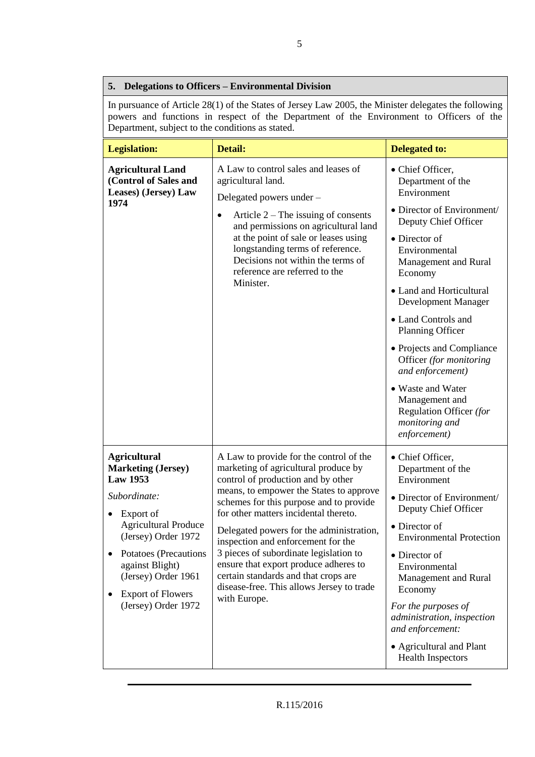### **5. Delegations to Officers – Environmental Division**

In pursuance of Article 28(1) of the States of Jersey Law 2005, the Minister delegates the following powers and functions in respect of the Department of the Environment to Officers of the Department, subject to the conditions as stated.

| <b>Legislation:</b>                                                                                                                                                                                                                                                          | <b>Detail:</b>                                                                                                                                                                                                                                                                                                                                                                                                                                                                                                                 | <b>Delegated to:</b>                                                                                                                                                                                                                                                                                                                                                                                                                                          |
|------------------------------------------------------------------------------------------------------------------------------------------------------------------------------------------------------------------------------------------------------------------------------|--------------------------------------------------------------------------------------------------------------------------------------------------------------------------------------------------------------------------------------------------------------------------------------------------------------------------------------------------------------------------------------------------------------------------------------------------------------------------------------------------------------------------------|---------------------------------------------------------------------------------------------------------------------------------------------------------------------------------------------------------------------------------------------------------------------------------------------------------------------------------------------------------------------------------------------------------------------------------------------------------------|
| <b>Agricultural Land</b><br>(Control of Sales and<br>Leases) (Jersey) Law<br>1974                                                                                                                                                                                            | A Law to control sales and leases of<br>agricultural land.<br>Delegated powers under -<br>Article $2$ – The issuing of consents<br>$\bullet$<br>and permissions on agricultural land<br>at the point of sale or leases using<br>longstanding terms of reference.<br>Decisions not within the terms of<br>reference are referred to the<br>Minister.                                                                                                                                                                            | • Chief Officer,<br>Department of the<br>Environment<br>• Director of Environment/<br>Deputy Chief Officer<br>• Director of<br>Environmental<br>Management and Rural<br>Economy<br>• Land and Horticultural<br>Development Manager<br>• Land Controls and<br>Planning Officer<br>• Projects and Compliance<br>Officer (for monitoring<br>and enforcement)<br>• Waste and Water<br>Management and<br>Regulation Officer (for<br>monitoring and<br>enforcement) |
| <b>Agricultural</b><br><b>Marketing (Jersey)</b><br><b>Law 1953</b><br>Subordinate:<br>Export of<br><b>Agricultural Produce</b><br>(Jersey) Order 1972<br>Potatoes (Precautions<br>against Blight)<br>(Jersey) Order 1961<br><b>Export of Flowers</b><br>(Jersey) Order 1972 | A Law to provide for the control of the<br>marketing of agricultural produce by<br>control of production and by other<br>means, to empower the States to approve<br>schemes for this purpose and to provide<br>for other matters incidental thereto.<br>Delegated powers for the administration,<br>inspection and enforcement for the<br>3 pieces of subordinate legislation to<br>ensure that export produce adheres to<br>certain standards and that crops are<br>disease-free. This allows Jersey to trade<br>with Europe. | • Chief Officer,<br>Department of the<br>Environment<br>• Director of Environment/<br>Deputy Chief Officer<br>• Director of<br><b>Environmental Protection</b><br>• Director of<br>Environmental<br>Management and Rural<br>Economy<br>For the purposes of<br>administration, inspection<br>and enforcement:<br>• Agricultural and Plant<br>Health Inspectors                                                                                                 |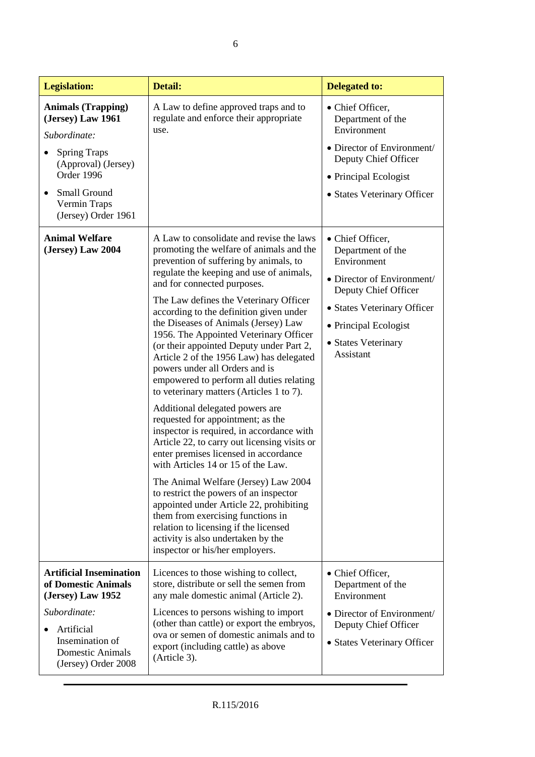| <b>Legislation:</b>                                                                                                                                                               | <b>Detail:</b>                                                                                                                                                                                                                                                                                                                                                                                                                                                                                                                                                                                                                                                                                                                                                                                                                                                                                                                                                                                                                                                                                                                             | <b>Delegated to:</b>                                                                                                                                                                                   |
|-----------------------------------------------------------------------------------------------------------------------------------------------------------------------------------|--------------------------------------------------------------------------------------------------------------------------------------------------------------------------------------------------------------------------------------------------------------------------------------------------------------------------------------------------------------------------------------------------------------------------------------------------------------------------------------------------------------------------------------------------------------------------------------------------------------------------------------------------------------------------------------------------------------------------------------------------------------------------------------------------------------------------------------------------------------------------------------------------------------------------------------------------------------------------------------------------------------------------------------------------------------------------------------------------------------------------------------------|--------------------------------------------------------------------------------------------------------------------------------------------------------------------------------------------------------|
| <b>Animals (Trapping)</b><br>(Jersey) Law 1961<br>Subordinate:<br><b>Spring Traps</b><br>(Approval) (Jersey)<br>Order 1996<br>Small Ground<br>Vermin Traps<br>(Jersey) Order 1961 | A Law to define approved traps and to<br>regulate and enforce their appropriate<br>use.                                                                                                                                                                                                                                                                                                                                                                                                                                                                                                                                                                                                                                                                                                                                                                                                                                                                                                                                                                                                                                                    | • Chief Officer,<br>Department of the<br>Environment<br>• Director of Environment/<br>Deputy Chief Officer<br>• Principal Ecologist<br>• States Veterinary Officer                                     |
| <b>Animal Welfare</b><br>(Jersey) Law 2004                                                                                                                                        | A Law to consolidate and revise the laws<br>promoting the welfare of animals and the<br>prevention of suffering by animals, to<br>regulate the keeping and use of animals,<br>and for connected purposes.<br>The Law defines the Veterinary Officer<br>according to the definition given under<br>the Diseases of Animals (Jersey) Law<br>1956. The Appointed Veterinary Officer<br>(or their appointed Deputy under Part 2,<br>Article 2 of the 1956 Law) has delegated<br>powers under all Orders and is<br>empowered to perform all duties relating<br>to veterinary matters (Articles 1 to 7).<br>Additional delegated powers are<br>requested for appointment; as the<br>inspector is required, in accordance with<br>Article 22, to carry out licensing visits or<br>enter premises licensed in accordance<br>with Articles 14 or 15 of the Law.<br>The Animal Welfare (Jersey) Law 2004<br>to restrict the powers of an inspector<br>appointed under Article 22, prohibiting<br>them from exercising functions in<br>relation to licensing if the licensed<br>activity is also undertaken by the<br>inspector or his/her employers. | • Chief Officer,<br>Department of the<br>Environment<br>• Director of Environment/<br>Deputy Chief Officer<br>• States Veterinary Officer<br>• Principal Ecologist<br>• States Veterinary<br>Assistant |
| <b>Artificial Insemination</b><br>of Domestic Animals<br>(Jersey) Law 1952<br>Subordinate:<br>Artificial<br>Insemination of<br><b>Domestic Animals</b><br>(Jersey) Order 2008     | Licences to those wishing to collect,<br>store, distribute or sell the semen from<br>any male domestic animal (Article 2).<br>Licences to persons wishing to import<br>(other than cattle) or export the embryos,<br>ova or semen of domestic animals and to<br>export (including cattle) as above<br>(Article 3).                                                                                                                                                                                                                                                                                                                                                                                                                                                                                                                                                                                                                                                                                                                                                                                                                         | • Chief Officer,<br>Department of the<br>Environment<br>• Director of Environment/<br>Deputy Chief Officer<br>• States Veterinary Officer                                                              |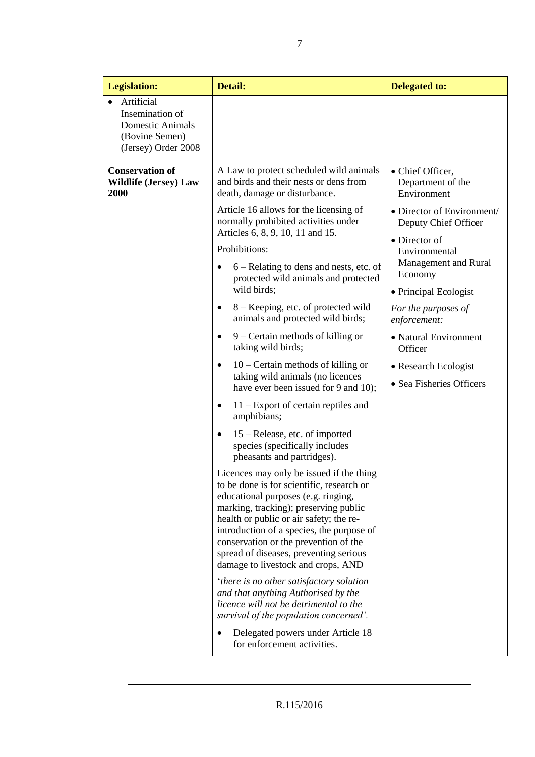| <b>Legislation:</b>                                                                               | Detail:                                                                                                                                                                                                                                                                                                                                                                                                                                                                                                                                                                                                                                                                                                                                                                                                                                                                                                                                                                                                                                                                                                                                                                                                                                                                                                                                                                                                                                                    | <b>Delegated to:</b>                                                                                                                                                                                                                                                                                                                    |
|---------------------------------------------------------------------------------------------------|------------------------------------------------------------------------------------------------------------------------------------------------------------------------------------------------------------------------------------------------------------------------------------------------------------------------------------------------------------------------------------------------------------------------------------------------------------------------------------------------------------------------------------------------------------------------------------------------------------------------------------------------------------------------------------------------------------------------------------------------------------------------------------------------------------------------------------------------------------------------------------------------------------------------------------------------------------------------------------------------------------------------------------------------------------------------------------------------------------------------------------------------------------------------------------------------------------------------------------------------------------------------------------------------------------------------------------------------------------------------------------------------------------------------------------------------------------|-----------------------------------------------------------------------------------------------------------------------------------------------------------------------------------------------------------------------------------------------------------------------------------------------------------------------------------------|
| Artificial<br>Insemination of<br><b>Domestic Animals</b><br>(Bovine Semen)<br>(Jersey) Order 2008 |                                                                                                                                                                                                                                                                                                                                                                                                                                                                                                                                                                                                                                                                                                                                                                                                                                                                                                                                                                                                                                                                                                                                                                                                                                                                                                                                                                                                                                                            |                                                                                                                                                                                                                                                                                                                                         |
| <b>Conservation of</b><br><b>Wildlife (Jersey) Law</b><br>2000                                    | A Law to protect scheduled wild animals<br>and birds and their nests or dens from<br>death, damage or disturbance.<br>Article 16 allows for the licensing of<br>normally prohibited activities under<br>Articles 6, 8, 9, 10, 11 and 15.<br>Prohibitions:<br>$6 - Relating to dens and nests, etc. of$<br>protected wild animals and protected<br>wild birds;<br>8 – Keeping, etc. of protected wild<br>٠<br>animals and protected wild birds;<br>$9 -$ Certain methods of killing or<br>٠<br>taking wild birds;<br>$10$ – Certain methods of killing or<br>٠<br>taking wild animals (no licences<br>have ever been issued for 9 and 10);<br>$11 -$ Export of certain reptiles and<br>٠<br>amphibians;<br>15 – Release, etc. of imported<br>$\bullet$<br>species (specifically includes<br>pheasants and partridges).<br>Licences may only be issued if the thing<br>to be done is for scientific, research or<br>educational purposes (e.g. ringing,<br>marking, tracking); preserving public<br>health or public or air safety; the re-<br>introduction of a species, the purpose of<br>conservation or the prevention of the<br>spread of diseases, preventing serious<br>damage to livestock and crops, AND<br>'there is no other satisfactory solution<br>and that anything Authorised by the<br>licence will not be detrimental to the<br>survival of the population concerned'.<br>Delegated powers under Article 18<br>for enforcement activities. | • Chief Officer,<br>Department of the<br>Environment<br>• Director of Environment/<br>Deputy Chief Officer<br>• Director of<br>Environmental<br>Management and Rural<br>Economy<br>• Principal Ecologist<br>For the purposes of<br>enforcement:<br>• Natural Environment<br>Officer<br>• Research Ecologist<br>• Sea Fisheries Officers |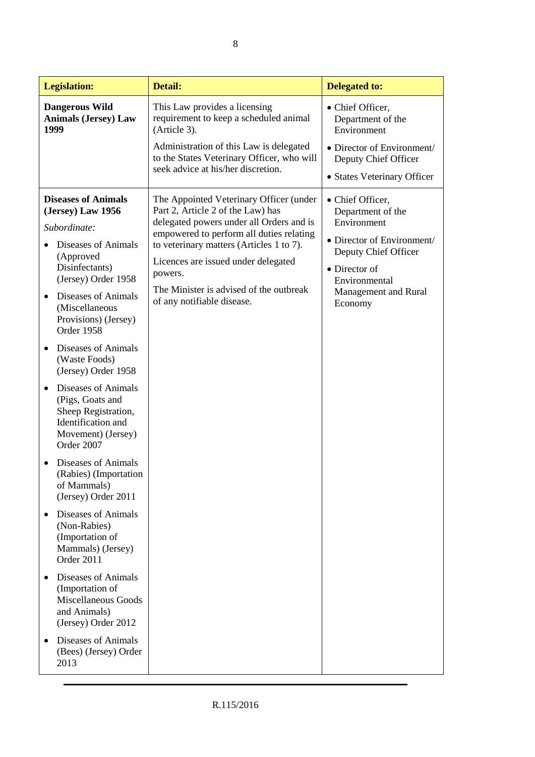| <b>Legislation:</b>                                                                                                                                                                                                                                                                                                                                                                                                                                                                                                                                                                                                                                 | Detail:                                                                                                                                                                                                                                                                                                                                     | <b>Delegated to:</b>                                                                                                                                                            |
|-----------------------------------------------------------------------------------------------------------------------------------------------------------------------------------------------------------------------------------------------------------------------------------------------------------------------------------------------------------------------------------------------------------------------------------------------------------------------------------------------------------------------------------------------------------------------------------------------------------------------------------------------------|---------------------------------------------------------------------------------------------------------------------------------------------------------------------------------------------------------------------------------------------------------------------------------------------------------------------------------------------|---------------------------------------------------------------------------------------------------------------------------------------------------------------------------------|
| <b>Dangerous Wild</b><br><b>Animals (Jersey) Law</b><br>1999                                                                                                                                                                                                                                                                                                                                                                                                                                                                                                                                                                                        | This Law provides a licensing<br>requirement to keep a scheduled animal<br>(Article 3).                                                                                                                                                                                                                                                     | • Chief Officer,<br>Department of the<br>Environment                                                                                                                            |
|                                                                                                                                                                                                                                                                                                                                                                                                                                                                                                                                                                                                                                                     | Administration of this Law is delegated<br>to the States Veterinary Officer, who will<br>seek advice at his/her discretion.                                                                                                                                                                                                                 | • Director of Environment/<br>Deputy Chief Officer<br>• States Veterinary Officer                                                                                               |
| <b>Diseases of Animals</b><br>(Jersey) Law 1956<br>Subordinate:<br>Diseases of Animals<br>(Approved<br>Disinfectants)<br>(Jersey) Order 1958<br>Diseases of Animals<br>(Miscellaneous<br>Provisions) (Jersey)<br>Order 1958<br>Diseases of Animals<br>(Waste Foods)<br>(Jersey) Order 1958<br>Diseases of Animals<br>(Pigs, Goats and<br>Sheep Registration,<br>Identification and<br>Movement) (Jersey)<br>Order 2007<br>Diseases of Animals<br>(Rabies) (Importation<br>of Mammals)<br>(Jersey) Order 2011<br>Diseases of Animals<br>(Non-Rabies)<br>(Importation of<br>Mammals) (Jersey)<br>Order 2011<br>Diseases of Animals<br>(Importation of | The Appointed Veterinary Officer (under<br>Part 2, Article 2 of the Law) has<br>delegated powers under all Orders and is<br>empowered to perform all duties relating<br>to veterinary matters (Articles 1 to 7).<br>Licences are issued under delegated<br>powers.<br>The Minister is advised of the outbreak<br>of any notifiable disease. | • Chief Officer,<br>Department of the<br>Environment<br>• Director of Environment/<br>Deputy Chief Officer<br>• Director of<br>Environmental<br>Management and Rural<br>Economy |
| <b>Miscellaneous Goods</b><br>and Animals)<br>(Jersey) Order 2012<br>Diseases of Animals<br>$\bullet$<br>(Bees) (Jersey) Order<br>2013                                                                                                                                                                                                                                                                                                                                                                                                                                                                                                              |                                                                                                                                                                                                                                                                                                                                             |                                                                                                                                                                                 |
|                                                                                                                                                                                                                                                                                                                                                                                                                                                                                                                                                                                                                                                     |                                                                                                                                                                                                                                                                                                                                             |                                                                                                                                                                                 |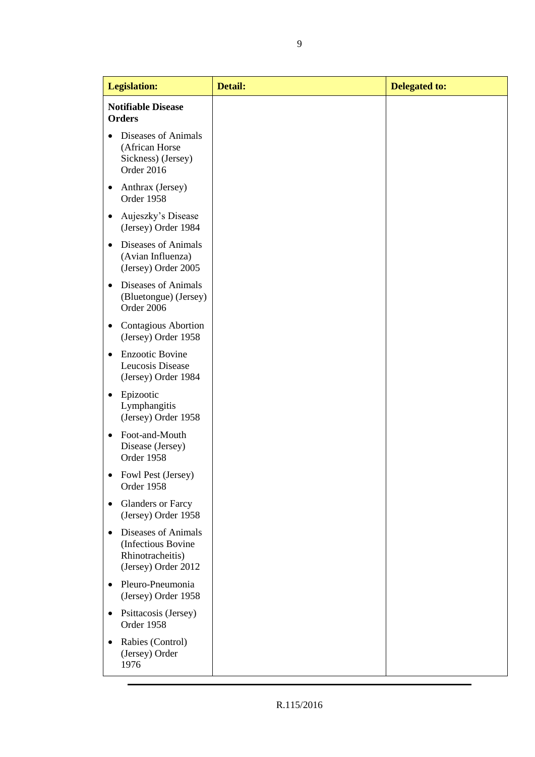| <b>Legislation:</b>                                                                               | <b>Detail:</b> | <b>Delegated to:</b> |
|---------------------------------------------------------------------------------------------------|----------------|----------------------|
| <b>Notifiable Disease</b><br><b>Orders</b>                                                        |                |                      |
| <b>Diseases of Animals</b><br>$\bullet$<br>(African Horse<br>Sickness) (Jersey)<br>Order 2016     |                |                      |
| Anthrax (Jersey)<br>$\bullet$<br>Order 1958                                                       |                |                      |
| Aujeszky's Disease<br>٠<br>(Jersey) Order 1984                                                    |                |                      |
| Diseases of Animals<br>$\bullet$<br>(Avian Influenza)<br>(Jersey) Order 2005                      |                |                      |
| Diseases of Animals<br>$\bullet$<br>(Bluetongue) (Jersey)<br>Order 2006                           |                |                      |
| <b>Contagious Abortion</b><br>$\bullet$<br>(Jersey) Order 1958                                    |                |                      |
| <b>Enzootic Bovine</b><br>$\bullet$<br>Leucosis Disease<br>(Jersey) Order 1984                    |                |                      |
| Epizootic<br>$\bullet$<br>Lymphangitis<br>(Jersey) Order 1958                                     |                |                      |
| Foot-and-Mouth<br>$\bullet$<br>Disease (Jersey)<br>Order 1958                                     |                |                      |
| Fowl Pest (Jersey)<br>Order 1958                                                                  |                |                      |
| <b>Glanders or Farcy</b><br>$\bullet$<br>(Jersey) Order 1958                                      |                |                      |
| Diseases of Animals<br>$\bullet$<br>(Infectious Bovine<br>Rhinotracheitis)<br>(Jersey) Order 2012 |                |                      |
| Pleuro-Pneumonia<br>$\bullet$<br>(Jersey) Order 1958                                              |                |                      |
| Psittacosis (Jersey)<br>$\bullet$<br>Order 1958                                                   |                |                      |
| Rabies (Control)<br>$\bullet$<br>(Jersey) Order<br>1976                                           |                |                      |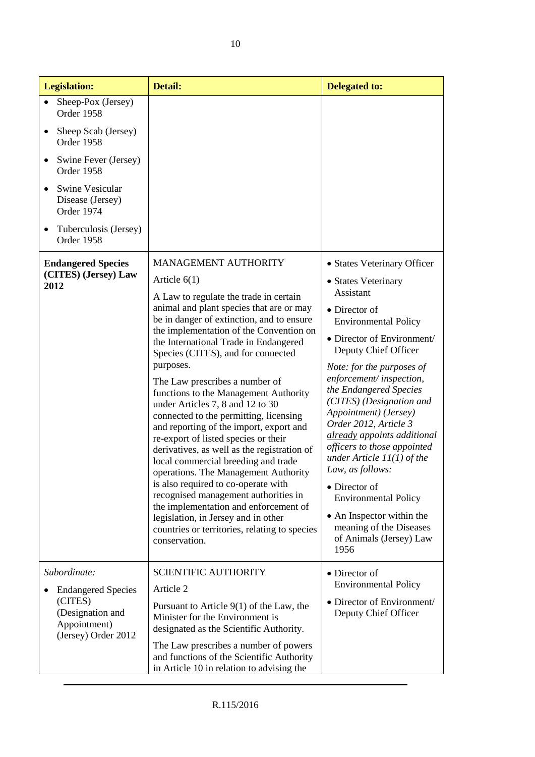| <b>Legislation:</b>                                                                                             | <b>Detail:</b>                                                                                                                                                                                                                                                                                                                                                                                                                                                                                                                                                                                                                                                                                                                                                                                                                                                                                                                     | <b>Delegated to:</b>                                                                                                                                                                                                                                                                                                                                                                                                                                                                                                                                                                               |
|-----------------------------------------------------------------------------------------------------------------|------------------------------------------------------------------------------------------------------------------------------------------------------------------------------------------------------------------------------------------------------------------------------------------------------------------------------------------------------------------------------------------------------------------------------------------------------------------------------------------------------------------------------------------------------------------------------------------------------------------------------------------------------------------------------------------------------------------------------------------------------------------------------------------------------------------------------------------------------------------------------------------------------------------------------------|----------------------------------------------------------------------------------------------------------------------------------------------------------------------------------------------------------------------------------------------------------------------------------------------------------------------------------------------------------------------------------------------------------------------------------------------------------------------------------------------------------------------------------------------------------------------------------------------------|
| Sheep-Pox (Jersey)<br>Order 1958<br>Sheep Scab (Jersey)<br>Order 1958                                           |                                                                                                                                                                                                                                                                                                                                                                                                                                                                                                                                                                                                                                                                                                                                                                                                                                                                                                                                    |                                                                                                                                                                                                                                                                                                                                                                                                                                                                                                                                                                                                    |
| Swine Fever (Jersey)<br>Order 1958                                                                              |                                                                                                                                                                                                                                                                                                                                                                                                                                                                                                                                                                                                                                                                                                                                                                                                                                                                                                                                    |                                                                                                                                                                                                                                                                                                                                                                                                                                                                                                                                                                                                    |
| <b>Swine Vesicular</b><br>Disease (Jersey)<br>Order 1974                                                        |                                                                                                                                                                                                                                                                                                                                                                                                                                                                                                                                                                                                                                                                                                                                                                                                                                                                                                                                    |                                                                                                                                                                                                                                                                                                                                                                                                                                                                                                                                                                                                    |
| Tuberculosis (Jersey)<br>Order 1958                                                                             |                                                                                                                                                                                                                                                                                                                                                                                                                                                                                                                                                                                                                                                                                                                                                                                                                                                                                                                                    |                                                                                                                                                                                                                                                                                                                                                                                                                                                                                                                                                                                                    |
| <b>Endangered Species</b><br>(CITES) (Jersey) Law<br>2012                                                       | <b>MANAGEMENT AUTHORITY</b><br>Article $6(1)$<br>A Law to regulate the trade in certain<br>animal and plant species that are or may<br>be in danger of extinction, and to ensure<br>the implementation of the Convention on<br>the International Trade in Endangered<br>Species (CITES), and for connected<br>purposes.<br>The Law prescribes a number of<br>functions to the Management Authority<br>under Articles 7, 8 and 12 to 30<br>connected to the permitting, licensing<br>and reporting of the import, export and<br>re-export of listed species or their<br>derivatives, as well as the registration of<br>local commercial breeding and trade<br>operations. The Management Authority<br>is also required to co-operate with<br>recognised management authorities in<br>the implementation and enforcement of<br>legislation, in Jersey and in other<br>countries or territories, relating to species<br>conservation. | • States Veterinary Officer<br>• States Veterinary<br>Assistant<br>• Director of<br><b>Environmental Policy</b><br>• Director of Environment/<br>Deputy Chief Officer<br>Note: for the purposes of<br>enforcement/inspection,<br>the Endangered Species<br>(CITES) (Designation and<br>Appointment) (Jersey)<br>Order 2012, Article 3<br>already appoints additional<br>officers to those appointed<br>under Article $11(1)$ of the<br>Law, as follows:<br>• Director of<br><b>Environmental Policy</b><br>• An Inspector within the<br>meaning of the Diseases<br>of Animals (Jersey) Law<br>1956 |
| Subordinate:<br><b>Endangered Species</b><br>(CITES)<br>(Designation and<br>Appointment)<br>(Jersey) Order 2012 | <b>SCIENTIFIC AUTHORITY</b><br>Article 2<br>Pursuant to Article $9(1)$ of the Law, the<br>Minister for the Environment is<br>designated as the Scientific Authority.<br>The Law prescribes a number of powers<br>and functions of the Scientific Authority<br>in Article 10 in relation to advising the                                                                                                                                                                                                                                                                                                                                                                                                                                                                                                                                                                                                                            | • Director of<br><b>Environmental Policy</b><br>• Director of Environment/<br>Deputy Chief Officer                                                                                                                                                                                                                                                                                                                                                                                                                                                                                                 |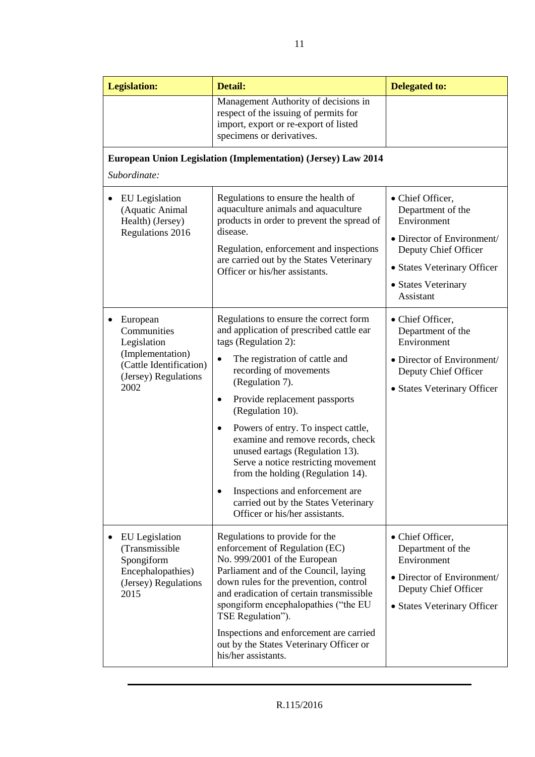| <b>Legislation:</b>                                                                                                   | <b>Detail:</b>                                                                                                                                                                                                                                                                                                                                                                                                                                                                                                                                                                                             | <b>Delegated to:</b>                                                                                                                                                          |
|-----------------------------------------------------------------------------------------------------------------------|------------------------------------------------------------------------------------------------------------------------------------------------------------------------------------------------------------------------------------------------------------------------------------------------------------------------------------------------------------------------------------------------------------------------------------------------------------------------------------------------------------------------------------------------------------------------------------------------------------|-------------------------------------------------------------------------------------------------------------------------------------------------------------------------------|
|                                                                                                                       | Management Authority of decisions in<br>respect of the issuing of permits for<br>import, export or re-export of listed<br>specimens or derivatives.                                                                                                                                                                                                                                                                                                                                                                                                                                                        |                                                                                                                                                                               |
| Subordinate:                                                                                                          | European Union Legislation (Implementation) (Jersey) Law 2014                                                                                                                                                                                                                                                                                                                                                                                                                                                                                                                                              |                                                                                                                                                                               |
| <b>EU</b> Legislation<br>(Aquatic Animal<br>Health) (Jersey)<br>Regulations 2016                                      | Regulations to ensure the health of<br>aquaculture animals and aquaculture<br>products in order to prevent the spread of<br>disease.<br>Regulation, enforcement and inspections<br>are carried out by the States Veterinary<br>Officer or his/her assistants.                                                                                                                                                                                                                                                                                                                                              | • Chief Officer,<br>Department of the<br>Environment<br>• Director of Environment/<br>Deputy Chief Officer<br>• States Veterinary Officer<br>• States Veterinary<br>Assistant |
| European<br>Communities<br>Legislation<br>(Implementation)<br>(Cattle Identification)<br>(Jersey) Regulations<br>2002 | Regulations to ensure the correct form<br>and application of prescribed cattle ear<br>tags (Regulation 2):<br>The registration of cattle and<br>$\bullet$<br>recording of movements<br>(Regulation 7).<br>Provide replacement passports<br>$\bullet$<br>(Regulation 10).<br>Powers of entry. To inspect cattle,<br>$\bullet$<br>examine and remove records, check<br>unused eartags (Regulation 13).<br>Serve a notice restricting movement<br>from the holding (Regulation 14).<br>Inspections and enforcement are<br>$\bullet$<br>carried out by the States Veterinary<br>Officer or his/her assistants. | • Chief Officer,<br>Department of the<br>Environment<br>• Director of Environment/<br>Deputy Chief Officer<br>• States Veterinary Officer                                     |
| EU Legislation<br>(Transmissible<br>Spongiform<br>Encephalopathies)<br>(Jersey) Regulations<br>2015                   | Regulations to provide for the<br>enforcement of Regulation (EC)<br>No. 999/2001 of the European<br>Parliament and of the Council, laying<br>down rules for the prevention, control<br>and eradication of certain transmissible<br>spongiform encephalopathies ("the EU<br>TSE Regulation").<br>Inspections and enforcement are carried<br>out by the States Veterinary Officer or<br>his/her assistants.                                                                                                                                                                                                  | • Chief Officer,<br>Department of the<br>Environment<br>• Director of Environment/<br>Deputy Chief Officer<br>• States Veterinary Officer                                     |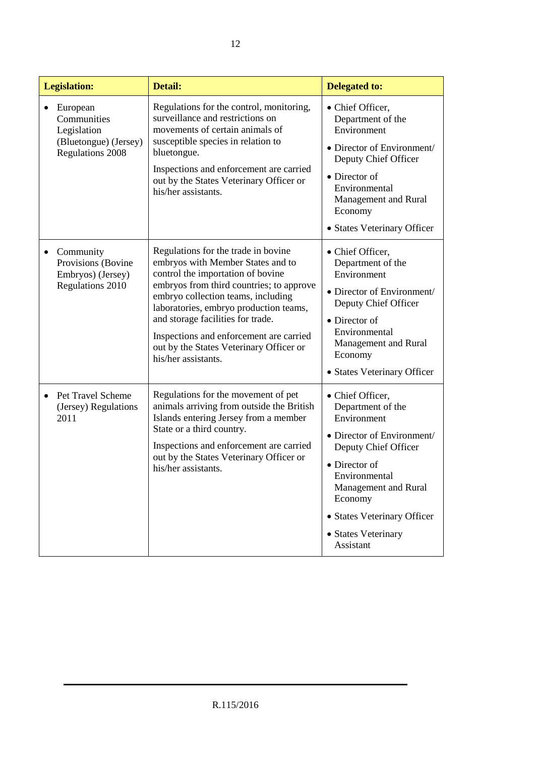| <b>Legislation:</b>                                                                        | <b>Detail:</b>                                                                                                                                                                                                                                                                                                                                                                              | <b>Delegated to:</b>                                                                                                                                                                                                                               |
|--------------------------------------------------------------------------------------------|---------------------------------------------------------------------------------------------------------------------------------------------------------------------------------------------------------------------------------------------------------------------------------------------------------------------------------------------------------------------------------------------|----------------------------------------------------------------------------------------------------------------------------------------------------------------------------------------------------------------------------------------------------|
| European<br>Communities<br>Legislation<br>(Bluetongue) (Jersey)<br><b>Regulations 2008</b> | Regulations for the control, monitoring,<br>surveillance and restrictions on<br>movements of certain animals of<br>susceptible species in relation to<br>bluetongue.<br>Inspections and enforcement are carried<br>out by the States Veterinary Officer or<br>his/her assistants.                                                                                                           | • Chief Officer,<br>Department of the<br>Environment<br>• Director of Environment/<br>Deputy Chief Officer<br>• Director of<br>Environmental<br>Management and Rural<br>Economy<br>• States Veterinary Officer                                     |
| Community<br>Provisions (Bovine<br>Embryos) (Jersey)<br>Regulations 2010                   | Regulations for the trade in bovine<br>embryos with Member States and to<br>control the importation of bovine<br>embryos from third countries; to approve<br>embryo collection teams, including<br>laboratories, embryo production teams,<br>and storage facilities for trade.<br>Inspections and enforcement are carried<br>out by the States Veterinary Officer or<br>his/her assistants. | • Chief Officer,<br>Department of the<br>Environment<br>• Director of Environment/<br>Deputy Chief Officer<br>• Director of<br>Environmental<br>Management and Rural<br>Economy<br>• States Veterinary Officer                                     |
| Pet Travel Scheme<br>(Jersey) Regulations<br>2011                                          | Regulations for the movement of pet<br>animals arriving from outside the British<br>Islands entering Jersey from a member<br>State or a third country.<br>Inspections and enforcement are carried<br>out by the States Veterinary Officer or<br>his/her assistants.                                                                                                                         | • Chief Officer,<br>Department of the<br>Environment<br>• Director of Environment/<br>Deputy Chief Officer<br>• Director of<br>Environmental<br>Management and Rural<br>Economy<br>• States Veterinary Officer<br>• States Veterinary<br>Assistant |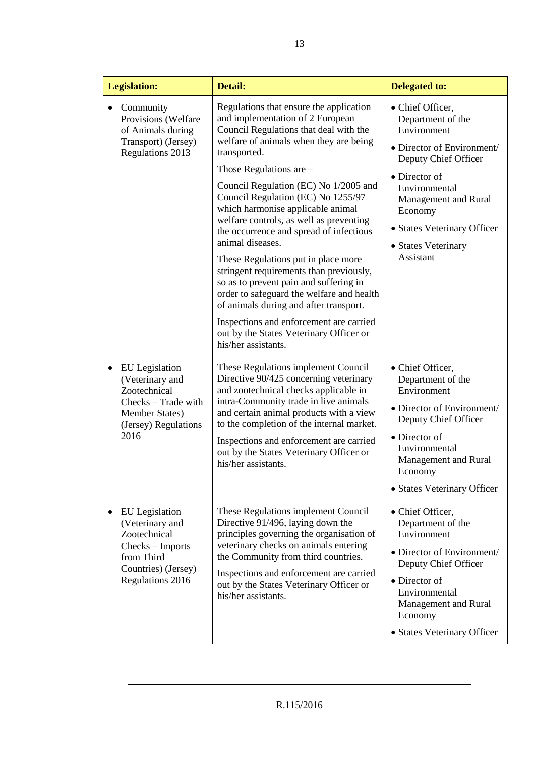| <b>Legislation:</b> |                                                                                                                                   | <b>Detail:</b>                                                                                                                                                                                                                                                                                                                                                                                                                                                                                                                                                                                                                                                                                                                                                             | <b>Delegated to:</b>                                                                                                                                                                                                                               |
|---------------------|-----------------------------------------------------------------------------------------------------------------------------------|----------------------------------------------------------------------------------------------------------------------------------------------------------------------------------------------------------------------------------------------------------------------------------------------------------------------------------------------------------------------------------------------------------------------------------------------------------------------------------------------------------------------------------------------------------------------------------------------------------------------------------------------------------------------------------------------------------------------------------------------------------------------------|----------------------------------------------------------------------------------------------------------------------------------------------------------------------------------------------------------------------------------------------------|
|                     | Community<br>Provisions (Welfare<br>of Animals during<br>Transport) (Jersey)<br>Regulations 2013                                  | Regulations that ensure the application<br>and implementation of 2 European<br>Council Regulations that deal with the<br>welfare of animals when they are being<br>transported.<br>Those Regulations are $-$<br>Council Regulation (EC) No 1/2005 and<br>Council Regulation (EC) No 1255/97<br>which harmonise applicable animal<br>welfare controls, as well as preventing<br>the occurrence and spread of infectious<br>animal diseases.<br>These Regulations put in place more<br>stringent requirements than previously,<br>so as to prevent pain and suffering in<br>order to safeguard the welfare and health<br>of animals during and after transport.<br>Inspections and enforcement are carried<br>out by the States Veterinary Officer or<br>his/her assistants. | • Chief Officer,<br>Department of the<br>Environment<br>• Director of Environment/<br>Deputy Chief Officer<br>• Director of<br>Environmental<br>Management and Rural<br>Economy<br>• States Veterinary Officer<br>• States Veterinary<br>Assistant |
|                     | <b>EU</b> Legislation<br>(Veterinary and<br>Zootechnical<br>Checks - Trade with<br>Member States)<br>(Jersey) Regulations<br>2016 | These Regulations implement Council<br>Directive 90/425 concerning veterinary<br>and zootechnical checks applicable in<br>intra-Community trade in live animals<br>and certain animal products with a view<br>to the completion of the internal market.<br>Inspections and enforcement are carried<br>out by the States Veterinary Officer or<br>his/her assistants.                                                                                                                                                                                                                                                                                                                                                                                                       | • Chief Officer,<br>Department of the<br>Environment<br>• Director of Environment/<br>Deputy Chief Officer<br>• Director of<br>Environmental<br>Management and Rural<br>Economy<br>• States Veterinary Officer                                     |
|                     | EU Legislation<br>(Veterinary and<br>Zootechnical<br>Checks - Imports<br>from Third<br>Countries) (Jersey)<br>Regulations 2016    | These Regulations implement Council<br>Directive 91/496, laying down the<br>principles governing the organisation of<br>veterinary checks on animals entering<br>the Community from third countries.<br>Inspections and enforcement are carried<br>out by the States Veterinary Officer or<br>his/her assistants.                                                                                                                                                                                                                                                                                                                                                                                                                                                          | • Chief Officer,<br>Department of the<br>Environment<br>• Director of Environment/<br>Deputy Chief Officer<br>• Director of<br>Environmental<br>Management and Rural<br>Economy<br>• States Veterinary Officer                                     |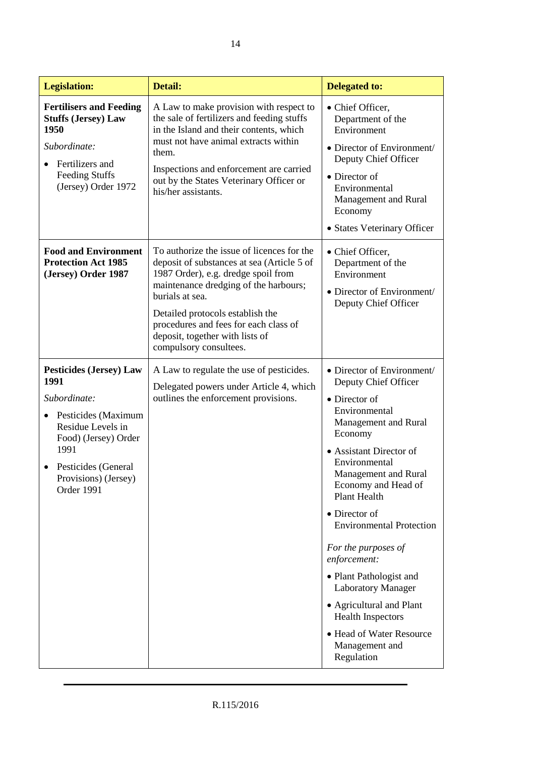| <b>Legislation:</b>                                                                                                                                                                             | Detail:                                                                                                                                                                                                                                                                                                                               | <b>Delegated to:</b>                                                                                                                                                                                                                                                                                                                                                                                                                                                                                      |
|-------------------------------------------------------------------------------------------------------------------------------------------------------------------------------------------------|---------------------------------------------------------------------------------------------------------------------------------------------------------------------------------------------------------------------------------------------------------------------------------------------------------------------------------------|-----------------------------------------------------------------------------------------------------------------------------------------------------------------------------------------------------------------------------------------------------------------------------------------------------------------------------------------------------------------------------------------------------------------------------------------------------------------------------------------------------------|
| <b>Fertilisers and Feeding</b><br><b>Stuffs (Jersey) Law</b><br>1950<br>Subordinate:<br>Fertilizers and<br>Feeding Stuffs<br>(Jersey) Order 1972                                                | A Law to make provision with respect to<br>the sale of fertilizers and feeding stuffs<br>in the Island and their contents, which<br>must not have animal extracts within<br>them.<br>Inspections and enforcement are carried<br>out by the States Veterinary Officer or<br>his/her assistants.                                        | • Chief Officer,<br>Department of the<br>Environment<br>• Director of Environment/<br>Deputy Chief Officer<br>• Director of<br>Environmental<br>Management and Rural<br>Economy<br>• States Veterinary Officer                                                                                                                                                                                                                                                                                            |
| <b>Food and Environment</b><br><b>Protection Act 1985</b><br>(Jersey) Order 1987                                                                                                                | To authorize the issue of licences for the<br>deposit of substances at sea (Article 5 of<br>1987 Order), e.g. dredge spoil from<br>maintenance dredging of the harbours;<br>burials at sea.<br>Detailed protocols establish the<br>procedures and fees for each class of<br>deposit, together with lists of<br>compulsory consultees. | • Chief Officer,<br>Department of the<br>Environment<br>• Director of Environment/<br>Deputy Chief Officer                                                                                                                                                                                                                                                                                                                                                                                                |
| <b>Pesticides (Jersey) Law</b><br>1991<br>Subordinate:<br>Pesticides (Maximum<br>Residue Levels in<br>Food) (Jersey) Order<br>1991<br>Pesticides (General<br>Provisions) (Jersey)<br>Order 1991 | A Law to regulate the use of pesticides.<br>Delegated powers under Article 4, which<br>outlines the enforcement provisions.                                                                                                                                                                                                           | • Director of Environment/<br>Deputy Chief Officer<br>• Director of<br>Environmental<br>Management and Rural<br>Economy<br>• Assistant Director of<br>Environmental<br>Management and Rural<br>Economy and Head of<br>Plant Health<br>• Director of<br><b>Environmental Protection</b><br>For the purposes of<br>enforcement:<br>• Plant Pathologist and<br><b>Laboratory Manager</b><br>• Agricultural and Plant<br><b>Health Inspectors</b><br>• Head of Water Resource<br>Management and<br>Regulation |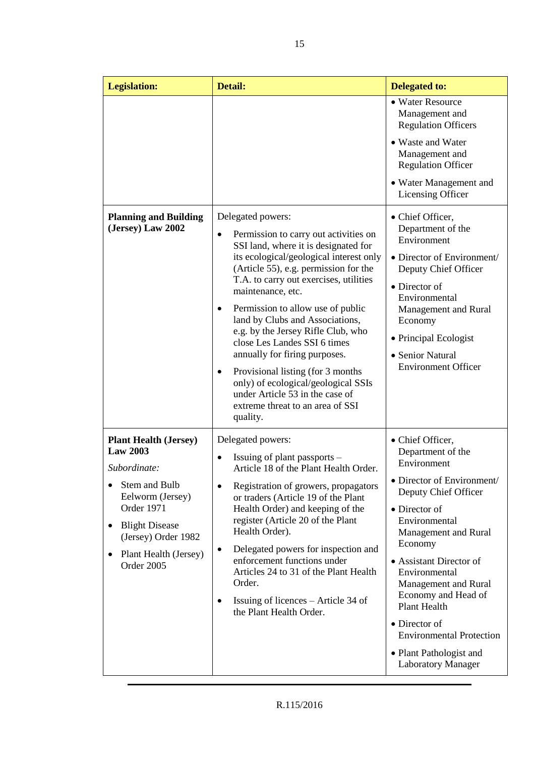| <b>Legislation:</b>                                                                                                                                                                                              | Detail:                                                                                                                                                                                                                                                                                                                                                                                                                                                                                                                                                                                                                | <b>Delegated to:</b>                                                                                                                                                                                                                                                                                                                                                                                          |
|------------------------------------------------------------------------------------------------------------------------------------------------------------------------------------------------------------------|------------------------------------------------------------------------------------------------------------------------------------------------------------------------------------------------------------------------------------------------------------------------------------------------------------------------------------------------------------------------------------------------------------------------------------------------------------------------------------------------------------------------------------------------------------------------------------------------------------------------|---------------------------------------------------------------------------------------------------------------------------------------------------------------------------------------------------------------------------------------------------------------------------------------------------------------------------------------------------------------------------------------------------------------|
|                                                                                                                                                                                                                  |                                                                                                                                                                                                                                                                                                                                                                                                                                                                                                                                                                                                                        | • Water Resource<br>Management and<br><b>Regulation Officers</b><br>• Waste and Water<br>Management and<br><b>Regulation Officer</b><br>• Water Management and<br>Licensing Officer                                                                                                                                                                                                                           |
| <b>Planning and Building</b><br>(Jersey) Law 2002                                                                                                                                                                | Delegated powers:<br>Permission to carry out activities on<br>$\bullet$<br>SSI land, where it is designated for<br>its ecological/geological interest only<br>(Article 55), e.g. permission for the<br>T.A. to carry out exercises, utilities<br>maintenance, etc.<br>Permission to allow use of public<br>land by Clubs and Associations,<br>e.g. by the Jersey Rifle Club, who<br>close Les Landes SSI 6 times<br>annually for firing purposes.<br>Provisional listing (for 3 months)<br>٠<br>only) of ecological/geological SSIs<br>under Article 53 in the case of<br>extreme threat to an area of SSI<br>quality. | • Chief Officer,<br>Department of the<br>Environment<br>• Director of Environment/<br>Deputy Chief Officer<br>• Director of<br>Environmental<br>Management and Rural<br>Economy<br>• Principal Ecologist<br>• Senior Natural<br><b>Environment Officer</b>                                                                                                                                                    |
| <b>Plant Health (Jersey)</b><br><b>Law 2003</b><br>Subordinate:<br>Stem and Bulb<br>Eelworm (Jersey)<br><b>Order 1971</b><br><b>Blight Disease</b><br>(Jersey) Order 1982<br>Plant Health (Jersey)<br>Order 2005 | Delegated powers:<br>Issuing of plant passports –<br>Article 18 of the Plant Health Order.<br>Registration of growers, propagators<br>or traders (Article 19 of the Plant<br>Health Order) and keeping of the<br>register (Article 20 of the Plant<br>Health Order).<br>Delegated powers for inspection and<br>٠<br>enforcement functions under<br>Articles 24 to 31 of the Plant Health<br>Order.<br>Issuing of licences – Article 34 of<br>٠<br>the Plant Health Order.                                                                                                                                              | · Chief Officer,<br>Department of the<br>Environment<br>· Director of Environment/<br>Deputy Chief Officer<br>• Director of<br>Environmental<br>Management and Rural<br>Economy<br>• Assistant Director of<br>Environmental<br>Management and Rural<br>Economy and Head of<br><b>Plant Health</b><br>• Director of<br><b>Environmental Protection</b><br>• Plant Pathologist and<br><b>Laboratory Manager</b> |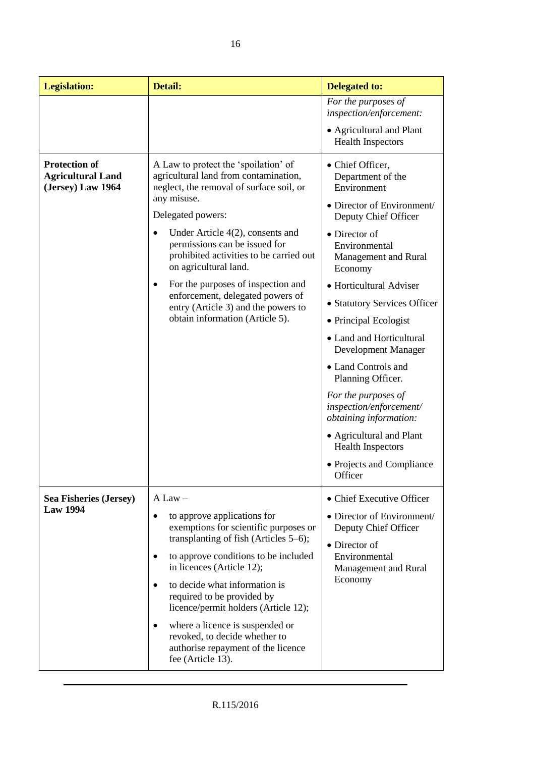| <b>Legislation:</b>                                                   | <b>Detail:</b>                                                                                                                           | <b>Delegated to:</b>                                                               |
|-----------------------------------------------------------------------|------------------------------------------------------------------------------------------------------------------------------------------|------------------------------------------------------------------------------------|
|                                                                       |                                                                                                                                          | For the purposes of<br>inspection/enforcement:                                     |
|                                                                       |                                                                                                                                          | • Agricultural and Plant<br><b>Health Inspectors</b>                               |
| <b>Protection of</b><br><b>Agricultural Land</b><br>(Jersey) Law 1964 | A Law to protect the 'spoilation' of<br>agricultural land from contamination,<br>neglect, the removal of surface soil, or<br>any misuse. | • Chief Officer,<br>Department of the<br>Environment<br>• Director of Environment/ |
|                                                                       | Delegated powers:                                                                                                                        | Deputy Chief Officer                                                               |
|                                                                       | Under Article $4(2)$ , consents and<br>permissions can be issued for<br>prohibited activities to be carried out<br>on agricultural land. | • Director of<br>Environmental<br>Management and Rural<br>Economy                  |
|                                                                       | For the purposes of inspection and<br>٠                                                                                                  | • Horticultural Adviser                                                            |
|                                                                       | enforcement, delegated powers of<br>entry (Article 3) and the powers to                                                                  | • Statutory Services Officer                                                       |
|                                                                       | obtain information (Article 5).                                                                                                          | • Principal Ecologist                                                              |
|                                                                       |                                                                                                                                          | • Land and Horticultural<br>Development Manager                                    |
|                                                                       |                                                                                                                                          | • Land Controls and<br>Planning Officer.                                           |
|                                                                       |                                                                                                                                          | For the purposes of<br>inspection/enforcement/<br>obtaining information:           |
|                                                                       |                                                                                                                                          | • Agricultural and Plant<br><b>Health Inspectors</b>                               |
|                                                                       |                                                                                                                                          | • Projects and Compliance<br>Officer                                               |
| <b>Sea Fisheries (Jersey)</b>                                         | $A Law -$                                                                                                                                | • Chief Executive Officer                                                          |
| <b>Law 1994</b>                                                       | to approve applications for<br>exemptions for scientific purposes or<br>transplanting of fish (Articles 5–6);                            | • Director of Environment/<br>Deputy Chief Officer<br>• Director of                |
|                                                                       | to approve conditions to be included<br>in licences (Article 12);                                                                        | Environmental<br>Management and Rural<br>Economy                                   |
|                                                                       | to decide what information is<br>٠<br>required to be provided by<br>licence/permit holders (Article 12);                                 |                                                                                    |
|                                                                       | where a licence is suspended or<br>٠<br>revoked, to decide whether to<br>authorise repayment of the licence<br>fee (Article 13).         |                                                                                    |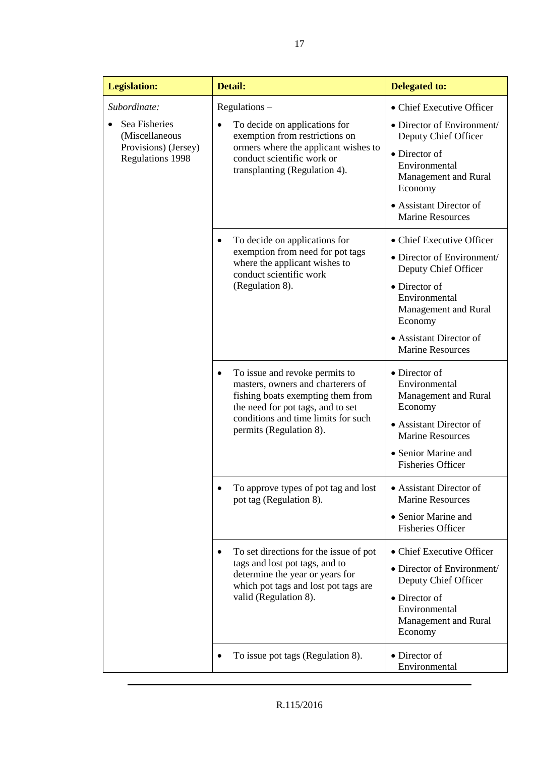| <b>Legislation:</b>                                                         | Detail:                                                                                                                                                                                                         | <b>Delegated to:</b>                                              |
|-----------------------------------------------------------------------------|-----------------------------------------------------------------------------------------------------------------------------------------------------------------------------------------------------------------|-------------------------------------------------------------------|
| Subordinate:                                                                | $Regularions -$                                                                                                                                                                                                 | • Chief Executive Officer                                         |
| Sea Fisheries<br>(Miscellaneous<br>Provisions) (Jersey)<br>Regulations 1998 | To decide on applications for<br>$\bullet$<br>exemption from restrictions on<br>ormers where the applicant wishes to<br>conduct scientific work or<br>transplanting (Regulation 4).                             | • Director of Environment/<br>Deputy Chief Officer                |
|                                                                             |                                                                                                                                                                                                                 | • Director of<br>Environmental<br>Management and Rural<br>Economy |
|                                                                             |                                                                                                                                                                                                                 | • Assistant Director of<br><b>Marine Resources</b>                |
|                                                                             | To decide on applications for<br>$\bullet$                                                                                                                                                                      | • Chief Executive Officer                                         |
|                                                                             | exemption from need for pot tags<br>where the applicant wishes to<br>conduct scientific work                                                                                                                    | • Director of Environment/<br>Deputy Chief Officer                |
|                                                                             | (Regulation 8).<br>• Director of<br>Economy                                                                                                                                                                     | Environmental<br>Management and Rural                             |
|                                                                             |                                                                                                                                                                                                                 | • Assistant Director of<br><b>Marine Resources</b>                |
|                                                                             | To issue and revoke permits to<br>masters, owners and charterers of<br>fishing boats exempting them from<br>the need for pot tags, and to set<br>conditions and time limits for such<br>permits (Regulation 8). | • Director of<br>Environmental<br>Management and Rural<br>Economy |
|                                                                             |                                                                                                                                                                                                                 | • Assistant Director of<br><b>Marine Resources</b>                |
|                                                                             |                                                                                                                                                                                                                 | • Senior Marine and<br><b>Fisheries Officer</b>                   |
|                                                                             | To approve types of pot tag and lost<br>pot tag (Regulation 8).                                                                                                                                                 | • Assistant Director of<br><b>Marine Resources</b>                |
|                                                                             |                                                                                                                                                                                                                 | • Senior Marine and<br><b>Fisheries Officer</b>                   |
|                                                                             | To set directions for the issue of pot                                                                                                                                                                          | • Chief Executive Officer                                         |
|                                                                             | tags and lost pot tags, and to<br>determine the year or years for                                                                                                                                               | • Director of Environment/<br>Deputy Chief Officer                |
|                                                                             | which pot tags and lost pot tags are<br>valid (Regulation 8).                                                                                                                                                   | • Director of<br>Environmental<br>Management and Rural<br>Economy |
|                                                                             | To issue pot tags (Regulation 8).                                                                                                                                                                               | • Director of<br>Environmental                                    |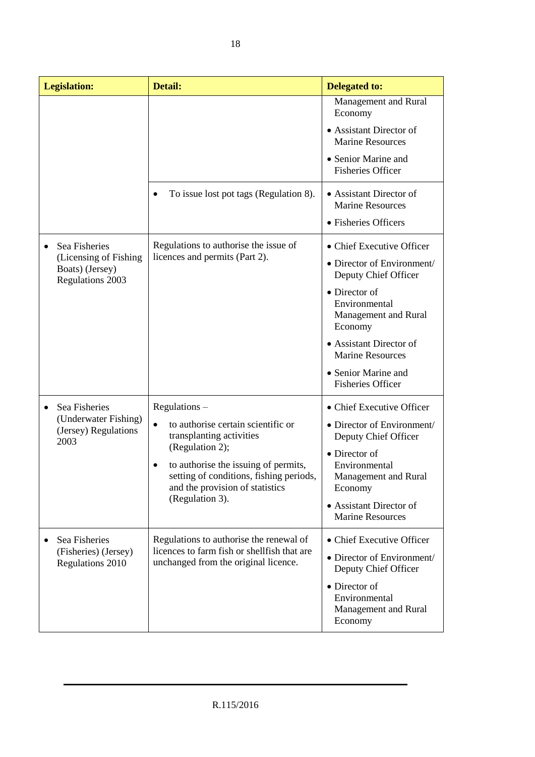| <b>Legislation:</b>                                                 | <b>Detail:</b>                                                                      | <b>Delegated to:</b>                                              |
|---------------------------------------------------------------------|-------------------------------------------------------------------------------------|-------------------------------------------------------------------|
|                                                                     |                                                                                     | Management and Rural<br>Economy                                   |
|                                                                     |                                                                                     | • Assistant Director of<br><b>Marine Resources</b>                |
|                                                                     |                                                                                     | • Senior Marine and<br><b>Fisheries Officer</b>                   |
|                                                                     | To issue lost pot tags (Regulation 8).                                              | • Assistant Director of<br><b>Marine Resources</b>                |
|                                                                     |                                                                                     | • Fisheries Officers                                              |
| Sea Fisheries                                                       | Regulations to authorise the issue of                                               | • Chief Executive Officer                                         |
| (Licensing of Fishing<br>Boats) (Jersey)<br><b>Regulations 2003</b> | licences and permits (Part 2).                                                      | • Director of Environment/<br>Deputy Chief Officer                |
|                                                                     |                                                                                     | • Director of<br>Environmental<br>Management and Rural<br>Economy |
|                                                                     |                                                                                     | • Assistant Director of<br><b>Marine Resources</b>                |
|                                                                     |                                                                                     | • Senior Marine and<br><b>Fisheries Officer</b>                   |
| Sea Fisheries                                                       | $Regularions -$                                                                     | • Chief Executive Officer                                         |
| (Underwater Fishing)<br>(Jersey) Regulations<br>2003                | to authorise certain scientific or<br>$\bullet$<br>transplanting activities         | • Director of Environment/<br>Deputy Chief Officer                |
|                                                                     | (Regulation 2);<br>to authorise the issuing of permits,                             | • Director of<br>Environmental                                    |
|                                                                     | setting of conditions, fishing periods,<br>and the provision of statistics          | <b>Management and Rural</b><br>Economy                            |
|                                                                     | (Regulation 3).                                                                     | • Assistant Director of<br><b>Marine Resources</b>                |
| Sea Fisheries<br>(Fisheries) (Jersey)<br>Regulations 2010           | Regulations to authorise the renewal of                                             | • Chief Executive Officer                                         |
|                                                                     | licences to farm fish or shellfish that are<br>unchanged from the original licence. | • Director of Environment/<br>Deputy Chief Officer                |
|                                                                     |                                                                                     | • Director of<br>Environmental<br>Management and Rural<br>Economy |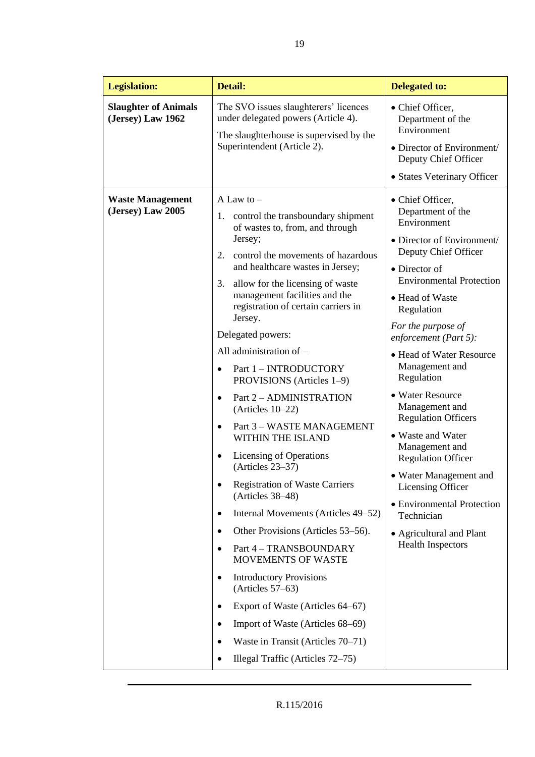| <b>Legislation:</b>                              | Detail:                                                                                                                                                                                                                                                                                                                                                                                                                                                                                                                                                                                                                                                                                                                                                                                                                                                                                                                                                                                                                                                                                                    | <b>Delegated to:</b>                                                                                                                                                                                                                                                                                                                                                                                                                                                                                                                                                                                  |
|--------------------------------------------------|------------------------------------------------------------------------------------------------------------------------------------------------------------------------------------------------------------------------------------------------------------------------------------------------------------------------------------------------------------------------------------------------------------------------------------------------------------------------------------------------------------------------------------------------------------------------------------------------------------------------------------------------------------------------------------------------------------------------------------------------------------------------------------------------------------------------------------------------------------------------------------------------------------------------------------------------------------------------------------------------------------------------------------------------------------------------------------------------------------|-------------------------------------------------------------------------------------------------------------------------------------------------------------------------------------------------------------------------------------------------------------------------------------------------------------------------------------------------------------------------------------------------------------------------------------------------------------------------------------------------------------------------------------------------------------------------------------------------------|
| <b>Slaughter of Animals</b><br>(Jersey) Law 1962 | The SVO issues slaughterers' licences<br>under delegated powers (Article 4).<br>The slaughterhouse is supervised by the<br>Superintendent (Article 2).                                                                                                                                                                                                                                                                                                                                                                                                                                                                                                                                                                                                                                                                                                                                                                                                                                                                                                                                                     | • Chief Officer,<br>Department of the<br>Environment<br>• Director of Environment/<br>Deputy Chief Officer<br>• States Veterinary Officer                                                                                                                                                                                                                                                                                                                                                                                                                                                             |
| <b>Waste Management</b><br>(Jersey) Law 2005     | A Law to $-$<br>control the transboundary shipment<br>1.<br>of wastes to, from, and through<br>Jersey;<br>control the movements of hazardous<br>2.<br>and healthcare wastes in Jersey;<br>3.<br>allow for the licensing of waste<br>management facilities and the<br>registration of certain carriers in<br>Jersey.<br>Delegated powers:<br>All administration of -<br>Part 1 - INTRODUCTORY<br>$\bullet$<br>PROVISIONS (Articles 1-9)<br>Part 2 - ADMINISTRATION<br>$\bullet$<br>(Articles $10-22$ )<br>Part 3 - WASTE MANAGEMENT<br>$\bullet$<br>WITHIN THE ISLAND<br>Licensing of Operations<br>$\bullet$<br>$(Articles 23-37)$<br><b>Registration of Waste Carriers</b><br>(Articles 38-48)<br>Internal Movements (Articles 49–52)<br>$\bullet$<br>Other Provisions (Articles 53–56).<br>$\bullet$<br>Part 4 - TRANSBOUNDARY<br>$\bullet$<br><b>MOVEMENTS OF WASTE</b><br><b>Introductory Provisions</b><br>٠<br>$(Articles 57-63)$<br>Export of Waste (Articles 64–67)<br>$\bullet$<br>Import of Waste (Articles 68–69)<br>٠<br>Waste in Transit (Articles 70–71)<br>Illegal Traffic (Articles 72-75) | • Chief Officer,<br>Department of the<br>Environment<br>• Director of Environment/<br>Deputy Chief Officer<br>• Director of<br><b>Environmental Protection</b><br>• Head of Waste<br>Regulation<br>For the purpose of<br>enforcement (Part 5):<br>• Head of Water Resource<br>Management and<br>Regulation<br>• Water Resource<br>Management and<br><b>Regulation Officers</b><br>• Waste and Water<br>Management and<br><b>Regulation Officer</b><br>• Water Management and<br>Licensing Officer<br>• Environmental Protection<br>Technician<br>• Agricultural and Plant<br><b>Health Inspectors</b> |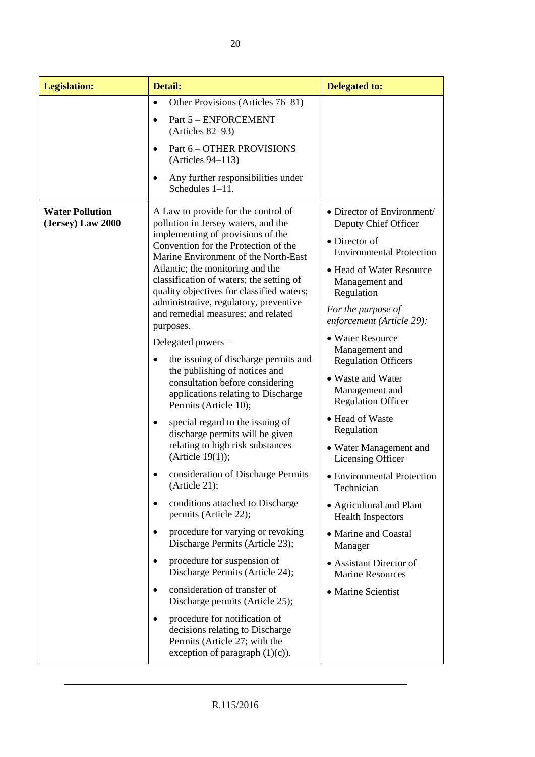| <b>Legislation:</b>                         | <b>Detail:</b>                                                                                                                                                                                                                                                                                                                                                                                                                                                                                                                                                                                                                                                                                                                                                                                                                                                                                                                                                                                                                                                                                                                                                                                                                                   | <b>Delegated to:</b>                                                                                                                                                                                                                                                                                                                                                                                                                                                                                                                                                                                                                                             |
|---------------------------------------------|--------------------------------------------------------------------------------------------------------------------------------------------------------------------------------------------------------------------------------------------------------------------------------------------------------------------------------------------------------------------------------------------------------------------------------------------------------------------------------------------------------------------------------------------------------------------------------------------------------------------------------------------------------------------------------------------------------------------------------------------------------------------------------------------------------------------------------------------------------------------------------------------------------------------------------------------------------------------------------------------------------------------------------------------------------------------------------------------------------------------------------------------------------------------------------------------------------------------------------------------------|------------------------------------------------------------------------------------------------------------------------------------------------------------------------------------------------------------------------------------------------------------------------------------------------------------------------------------------------------------------------------------------------------------------------------------------------------------------------------------------------------------------------------------------------------------------------------------------------------------------------------------------------------------------|
|                                             | Other Provisions (Articles 76–81)<br>$\bullet$<br>Part 5 - ENFORCEMENT<br>(Articles 82–93)                                                                                                                                                                                                                                                                                                                                                                                                                                                                                                                                                                                                                                                                                                                                                                                                                                                                                                                                                                                                                                                                                                                                                       |                                                                                                                                                                                                                                                                                                                                                                                                                                                                                                                                                                                                                                                                  |
|                                             | Part 6 - OTHER PROVISIONS<br>$\bullet$<br>$(Articles 94-113)$                                                                                                                                                                                                                                                                                                                                                                                                                                                                                                                                                                                                                                                                                                                                                                                                                                                                                                                                                                                                                                                                                                                                                                                    |                                                                                                                                                                                                                                                                                                                                                                                                                                                                                                                                                                                                                                                                  |
|                                             | Any further responsibilities under<br>Schedules 1-11.                                                                                                                                                                                                                                                                                                                                                                                                                                                                                                                                                                                                                                                                                                                                                                                                                                                                                                                                                                                                                                                                                                                                                                                            |                                                                                                                                                                                                                                                                                                                                                                                                                                                                                                                                                                                                                                                                  |
| <b>Water Pollution</b><br>(Jersey) Law 2000 | A Law to provide for the control of<br>pollution in Jersey waters, and the<br>implementing of provisions of the<br>Convention for the Protection of the<br>Marine Environment of the North-East<br>Atlantic; the monitoring and the<br>classification of waters; the setting of<br>quality objectives for classified waters;<br>administrative, regulatory, preventive<br>and remedial measures; and related<br>purposes.<br>Delegated powers -<br>the issuing of discharge permits and<br>the publishing of notices and<br>consultation before considering<br>applications relating to Discharge<br>Permits (Article 10);<br>special regard to the issuing of<br>٠<br>discharge permits will be given<br>relating to high risk substances<br>(Article $19(1)$ );<br>consideration of Discharge Permits<br>(Article 21);<br>conditions attached to Discharge<br>٠<br>permits (Article 22);<br>procedure for varying or revoking<br>٠<br>Discharge Permits (Article 23);<br>procedure for suspension of<br>٠<br>Discharge Permits (Article 24);<br>consideration of transfer of<br>$\bullet$<br>Discharge permits (Article 25);<br>procedure for notification of<br>$\bullet$<br>decisions relating to Discharge<br>Permits (Article 27; with the | • Director of Environment/<br>Deputy Chief Officer<br>• Director of<br><b>Environmental Protection</b><br>• Head of Water Resource<br>Management and<br>Regulation<br>For the purpose of<br>enforcement (Article 29):<br>• Water Resource<br>Management and<br><b>Regulation Officers</b><br>• Waste and Water<br>Management and<br><b>Regulation Officer</b><br>• Head of Waste<br>Regulation<br>• Water Management and<br>Licensing Officer<br>• Environmental Protection<br>Technician<br>• Agricultural and Plant<br><b>Health Inspectors</b><br>• Marine and Coastal<br>Manager<br>• Assistant Director of<br><b>Marine Resources</b><br>• Marine Scientist |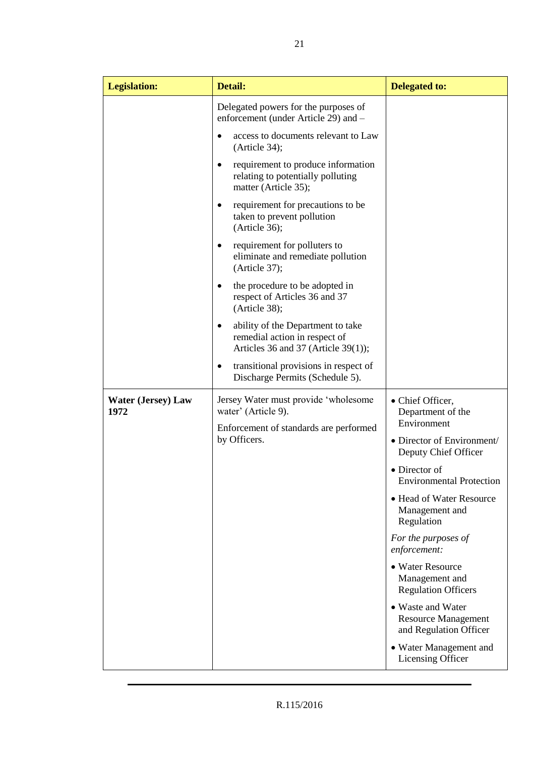| <b>Legislation:</b>               | <b>Detail:</b>                                                                                                 | <b>Delegated to:</b>                                                      |
|-----------------------------------|----------------------------------------------------------------------------------------------------------------|---------------------------------------------------------------------------|
|                                   | Delegated powers for the purposes of<br>enforcement (under Article 29) and -                                   |                                                                           |
|                                   | access to documents relevant to Law<br>(Article 34);                                                           |                                                                           |
|                                   | requirement to produce information<br>relating to potentially polluting<br>matter (Article 35);                |                                                                           |
|                                   | requirement for precautions to be<br>٠<br>taken to prevent pollution<br>(Article 36);                          |                                                                           |
|                                   | requirement for polluters to<br>eliminate and remediate pollution<br>(Article 37);                             |                                                                           |
|                                   | the procedure to be adopted in<br>respect of Articles 36 and 37<br>(Article 38);                               |                                                                           |
|                                   | ability of the Department to take<br>٠<br>remedial action in respect of<br>Articles 36 and 37 (Article 39(1)); |                                                                           |
|                                   | transitional provisions in respect of<br>٠<br>Discharge Permits (Schedule 5).                                  |                                                                           |
| <b>Water (Jersey) Law</b><br>1972 | Jersey Water must provide 'wholesome<br>water' (Article 9).<br>Enforcement of standards are performed          | • Chief Officer,<br>Department of the<br>Environment                      |
|                                   | by Officers.                                                                                                   | • Director of Environment/<br>Deputy Chief Officer                        |
|                                   |                                                                                                                | • Director of<br><b>Environmental Protection</b>                          |
|                                   |                                                                                                                | • Head of Water Resource<br>Management and<br>Regulation                  |
|                                   |                                                                                                                | For the purposes of<br>enforcement:                                       |
|                                   |                                                                                                                | • Water Resource<br>Management and<br><b>Regulation Officers</b>          |
|                                   |                                                                                                                | • Waste and Water<br><b>Resource Management</b><br>and Regulation Officer |
|                                   |                                                                                                                | • Water Management and<br>Licensing Officer                               |